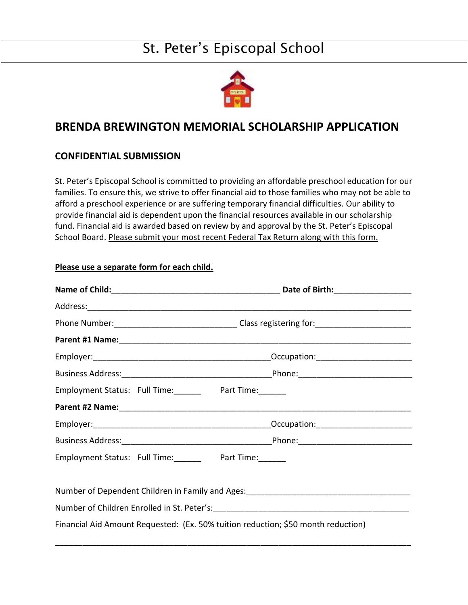## St. Peter's Episcopal School



## **BRENDA BREWINGTON MEMORIAL SCHOLARSHIP APPLICATION**

## **CONFIDENTIAL SUBMISSION**

St. Peter's Episcopal School is committed to providing an affordable preschool education for our families. To ensure this, we strive to offer financial aid to those families who may not be able to afford a preschool experience or are suffering temporary financial difficulties. Our ability to provide financial aid is dependent upon the financial resources available in our scholarship fund. Financial aid is awarded based on review by and approval by the St. Peter's Episcopal School Board. Please submit your most recent Federal Tax Return along with this form.

| Employment Status: Full Time: Part Time: |  |
|------------------------------------------|--|
|                                          |  |
|                                          |  |
|                                          |  |
| Employment Status: Full Time: Part Time: |  |

**Please use a separate form for each child.**

Number of Dependent Children in Family and Ages:

\_\_\_\_\_\_\_\_\_\_\_\_\_\_\_\_\_\_\_\_\_\_\_\_\_\_\_\_\_\_\_\_\_\_\_\_\_\_\_\_\_\_\_\_\_\_\_\_\_\_\_\_\_\_\_\_\_\_\_\_\_\_\_\_\_\_\_\_\_\_\_\_\_\_\_\_\_\_

Number of Children Enrolled in St. Peter's:

Financial Aid Amount Requested: (Ex. 50% tuition reduction; \$50 month reduction)